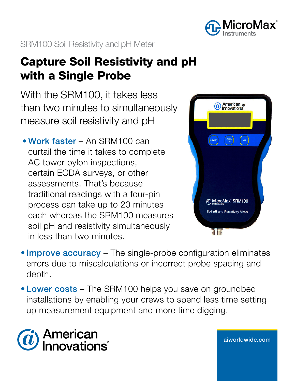

SRM100 Soil Resistivity and pH Meter

# Capture Soil Resistivity and pH with a Single Probe

With the SRM100, it takes less than two minutes to simultaneously measure soil resistivity and pH

• Work faster – An SRM100 can curtail the time it takes to complete AC tower pylon inspections, certain ECDA surveys, or other assessments. That's because traditional readings with a four-pin process can take up to 20 minutes each whereas the SRM100 measures soil pH and resistivity simultaneously in less than two minutes.



aiw[orldwide.com](http://aiworldwide.com)

- Improve accuracy The single-probe configuration eliminates errors due to miscalculations or incorrect probe spacing and depth.
- Lower costs The SRM100 helps you save on groundbed installations by enabling your crews to spend less time setting up measurement equipment and more time digging.